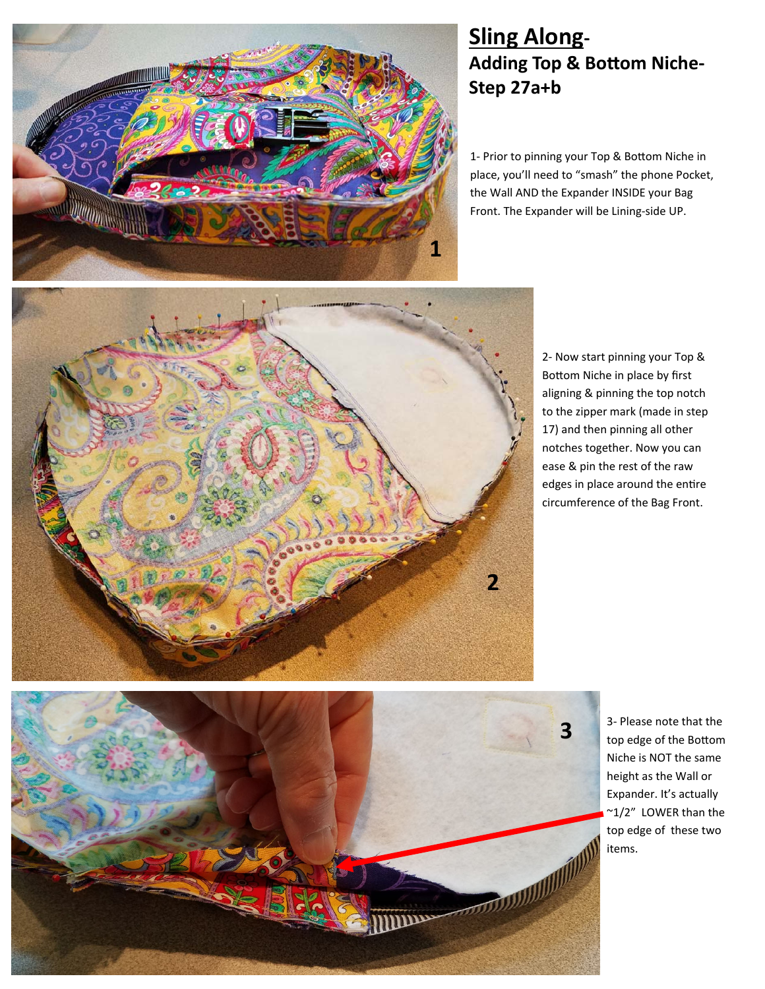

## **Sling Along‐ Adding Top & Bottom Niche-Step 27a+b**

1- Prior to pinning your Top & Bottom Niche in place, you'll need to "smash" the phone Pocket, the Wall AND the Expander INSIDE your Bag Front. The Expander will be Lining‐side UP.



2‐ Now start pinning your Top & Bottom Niche in place by first aligning & pinning the top notch to the zipper mark (made in step 17) and then pinning all other notches together. Now you can ease & pin the rest of the raw edges in place around the entire circumference of the Bag Front.



3‐ Please note that the top edge of the Bottom Niche is NOT the same height as the Wall or Expander. It's actually ~1/2" LOWER than the top edge of these two items.